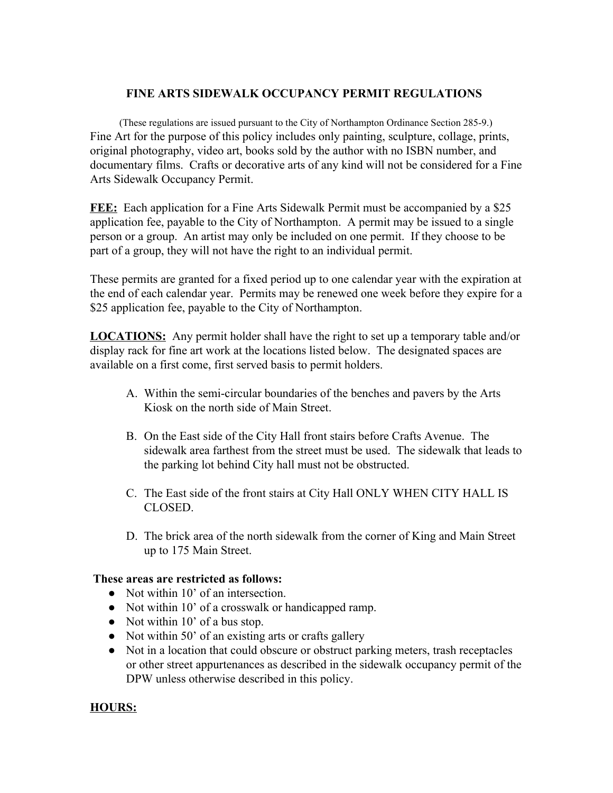## **FINE ARTS SIDEWALK OCCUPANCY PERMIT REGULATIONS**

(These regulations are issued pursuant to the City of Northampton Ordinance Section 285-9.) Fine Art for the purpose of this policy includes only painting, sculpture, collage, prints, original photography, video art, books sold by the author with no ISBN number, and documentary films. Crafts or decorative arts of any kind will not be considered for a Fine Arts Sidewalk Occupancy Permit.

**FEE:** Each application for a Fine Arts Sidewalk Permit must be accompanied by a \$25 application fee, payable to the City of Northampton. A permit may be issued to a single person or a group. An artist may only be included on one permit. If they choose to be part of a group, they will not have the right to an individual permit.

These permits are granted for a fixed period up to one calendar year with the expiration at the end of each calendar year. Permits may be renewed one week before they expire for a \$25 application fee, payable to the City of Northampton.

**LOCATIONS:** Any permit holder shall have the right to set up a temporary table and/or display rack for fine art work at the locations listed below. The designated spaces are available on a first come, first served basis to permit holders.

- A. Within the semi-circular boundaries of the benches and pavers by the Arts Kiosk on the north side of Main Street.
- B. On the East side of the City Hall front stairs before Crafts Avenue. The sidewalk area farthest from the street must be used. The sidewalk that leads to the parking lot behind City hall must not be obstructed.
- C. The East side of the front stairs at City Hall ONLY WHEN CITY HALL IS CLOSED.
- D. The brick area of the north sidewalk from the corner of King and Main Street up to 175 Main Street.

## **These areas are restricted as follows:**

- Not within 10' of an intersection.
- Not within 10' of a crosswalk or handicapped ramp.
- Not within 10' of a bus stop.
- Not within 50' of an existing arts or crafts gallery
- Not in a location that could obscure or obstruct parking meters, trash receptacles or other street appurtenances as described in the sidewalk occupancy permit of the DPW unless otherwise described in this policy.

## **HOURS:**